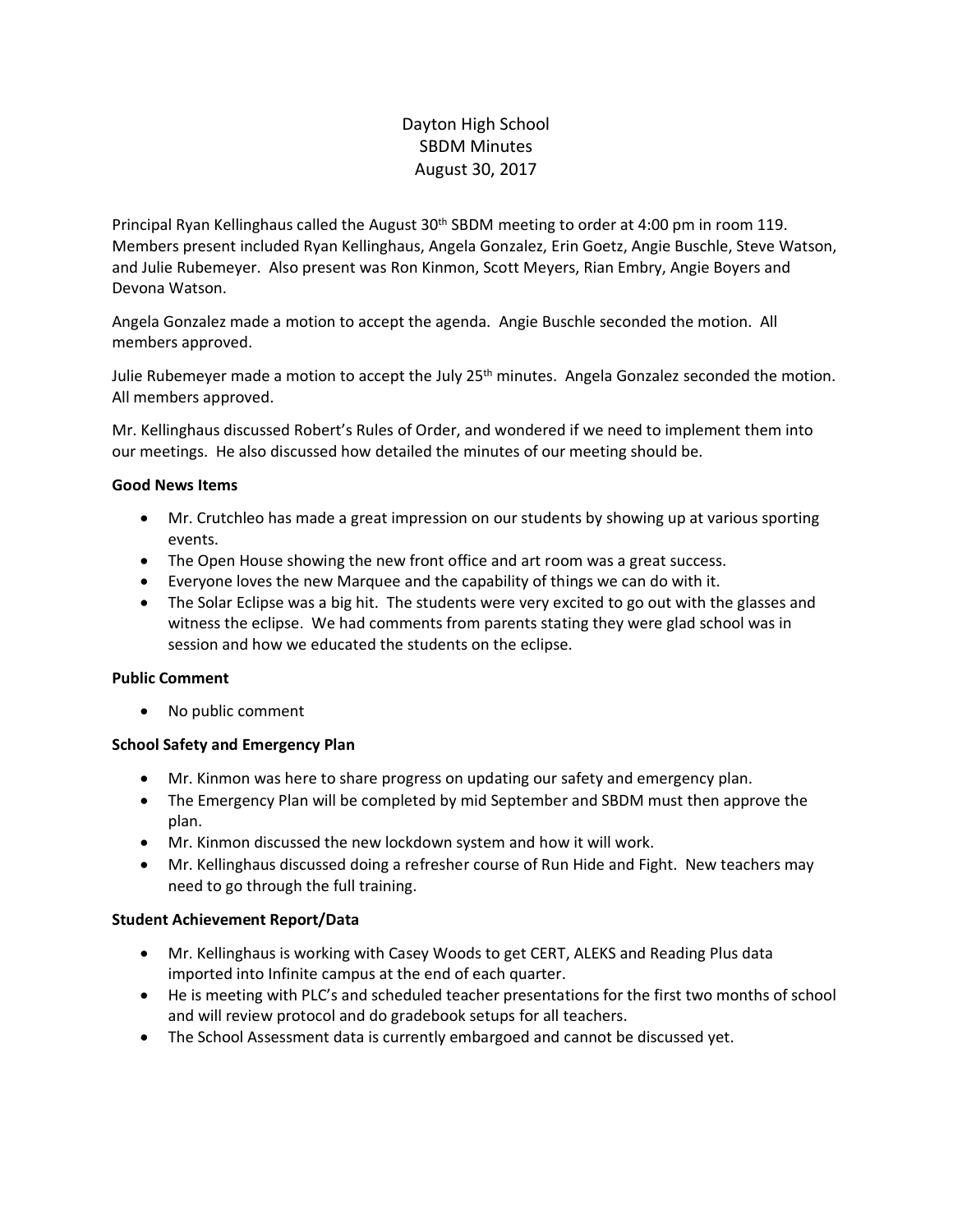# Dayton High School SBDM Minutes August 30, 2017

Principal Ryan Kellinghaus called the August 30th SBDM meeting to order at 4:00 pm in room 119. Members present included Ryan Kellinghaus, Angela Gonzalez, Erin Goetz, Angie Buschle, Steve Watson, and Julie Rubemeyer. Also present was Ron Kinmon, Scott Meyers, Rian Embry, Angie Boyers and Devona Watson.

Angela Gonzalez made a motion to accept the agenda. Angie Buschle seconded the motion. All members approved.

Julie Rubemeyer made a motion to accept the July 25<sup>th</sup> minutes. Angela Gonzalez seconded the motion. All members approved.

Mr. Kellinghaus discussed Robert's Rules of Order, and wondered if we need to implement them into our meetings. He also discussed how detailed the minutes of our meeting should be.

### **Good News Items**

- Mr. Crutchleo has made a great impression on our students by showing up at various sporting events.
- The Open House showing the new front office and art room was a great success.
- Everyone loves the new Marquee and the capability of things we can do with it.
- The Solar Eclipse was a big hit. The students were very excited to go out with the glasses and witness the eclipse. We had comments from parents stating they were glad school was in session and how we educated the students on the eclipse.

### **Public Comment**

• No public comment

# **School Safety and Emergency Plan**

- Mr. Kinmon was here to share progress on updating our safety and emergency plan.
- The Emergency Plan will be completed by mid September and SBDM must then approve the plan.
- Mr. Kinmon discussed the new lockdown system and how it will work.
- Mr. Kellinghaus discussed doing a refresher course of Run Hide and Fight. New teachers may need to go through the full training.

### **Student Achievement Report/Data**

- Mr. Kellinghaus is working with Casey Woods to get CERT, ALEKS and Reading Plus data imported into Infinite campus at the end of each quarter.
- He is meeting with PLC's and scheduled teacher presentations for the first two months of school and will review protocol and do gradebook setups for all teachers.
- The School Assessment data is currently embargoed and cannot be discussed yet.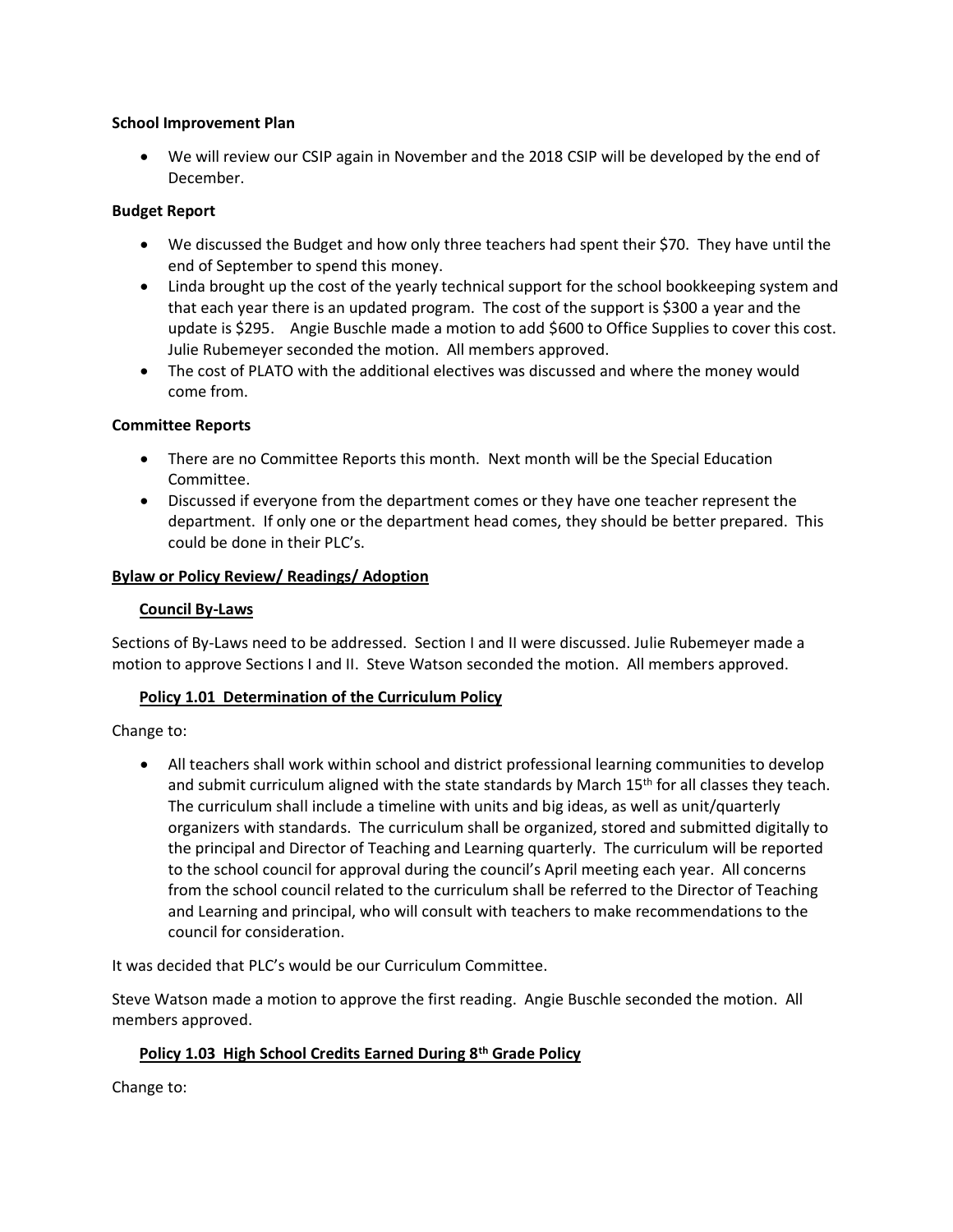### **School Improvement Plan**

• We will review our CSIP again in November and the 2018 CSIP will be developed by the end of December.

### **Budget Report**

- We discussed the Budget and how only three teachers had spent their \$70. They have until the end of September to spend this money.
- Linda brought up the cost of the yearly technical support for the school bookkeeping system and that each year there is an updated program. The cost of the support is \$300 a year and the update is \$295. Angie Buschle made a motion to add \$600 to Office Supplies to cover this cost. Julie Rubemeyer seconded the motion. All members approved.
- The cost of PLATO with the additional electives was discussed and where the money would come from.

### **Committee Reports**

- There are no Committee Reports this month. Next month will be the Special Education Committee.
- Discussed if everyone from the department comes or they have one teacher represent the department. If only one or the department head comes, they should be better prepared. This could be done in their PLC's.

### **Bylaw or Policy Review/ Readings/ Adoption**

### **Council By-Laws**

Sections of By-Laws need to be addressed. Section I and II were discussed. Julie Rubemeyer made a motion to approve Sections I and II. Steve Watson seconded the motion. All members approved.

### **Policy 1.01 Determination of the Curriculum Policy**

Change to:

• All teachers shall work within school and district professional learning communities to develop and submit curriculum aligned with the state standards by March 15<sup>th</sup> for all classes they teach. The curriculum shall include a timeline with units and big ideas, as well as unit/quarterly organizers with standards. The curriculum shall be organized, stored and submitted digitally to the principal and Director of Teaching and Learning quarterly. The curriculum will be reported to the school council for approval during the council's April meeting each year. All concerns from the school council related to the curriculum shall be referred to the Director of Teaching and Learning and principal, who will consult with teachers to make recommendations to the council for consideration.

It was decided that PLC's would be our Curriculum Committee.

Steve Watson made a motion to approve the first reading. Angie Buschle seconded the motion. All members approved.

# **Policy 1.03 High School Credits Earned During 8th Grade Policy**

Change to: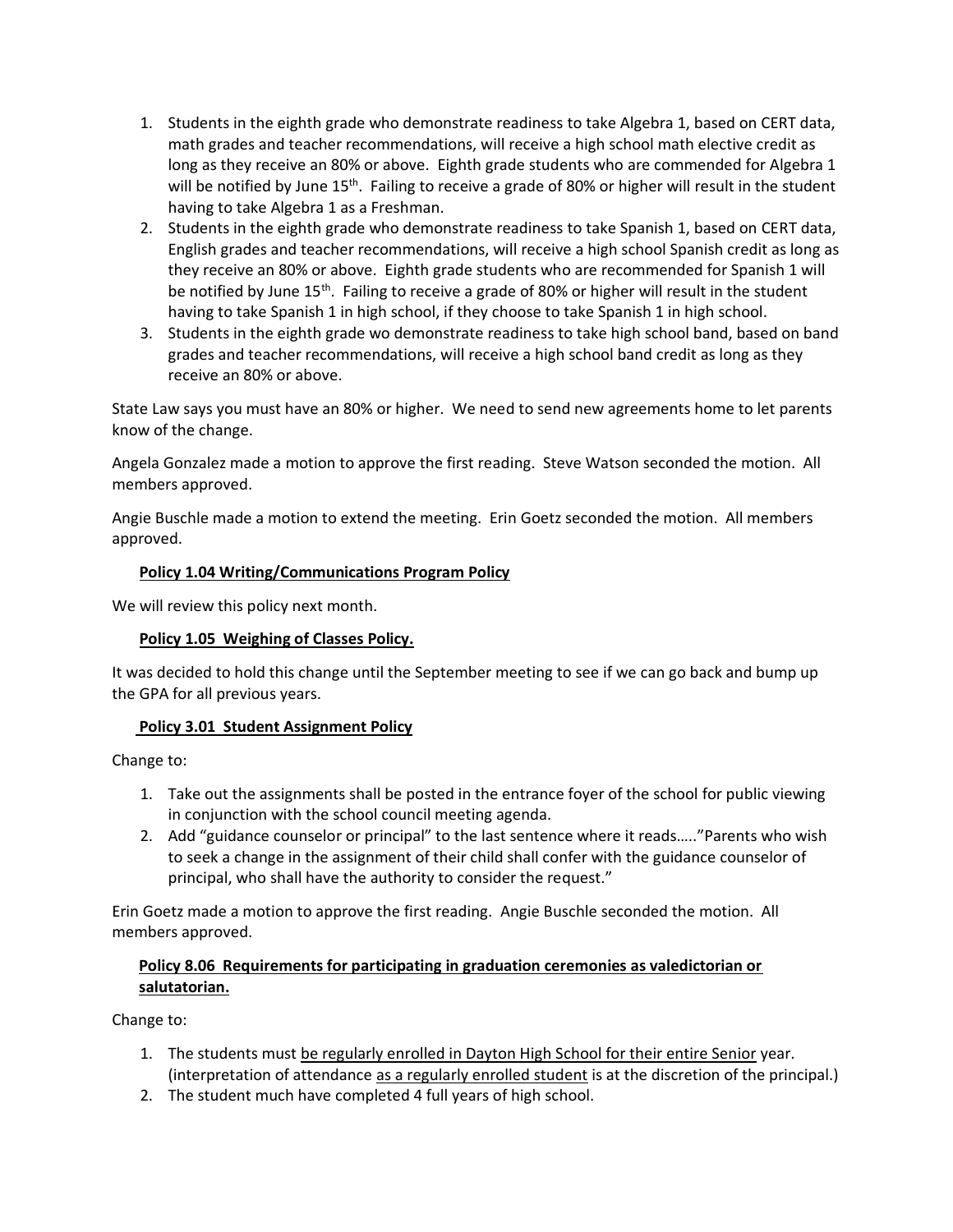- 1. Students in the eighth grade who demonstrate readiness to take Algebra 1, based on CERT data, math grades and teacher recommendations, will receive a high school math elective credit as long as they receive an 80% or above. Eighth grade students who are commended for Algebra 1 will be notified by June 15<sup>th</sup>. Failing to receive a grade of 80% or higher will result in the student having to take Algebra 1 as a Freshman.
- 2. Students in the eighth grade who demonstrate readiness to take Spanish 1, based on CERT data, English grades and teacher recommendations, will receive a high school Spanish credit as long as they receive an 80% or above. Eighth grade students who are recommended for Spanish 1 will be notified by June  $15<sup>th</sup>$ . Failing to receive a grade of 80% or higher will result in the student having to take Spanish 1 in high school, if they choose to take Spanish 1 in high school.
- 3. Students in the eighth grade wo demonstrate readiness to take high school band, based on band grades and teacher recommendations, will receive a high school band credit as long as they receive an 80% or above.

State Law says you must have an 80% or higher. We need to send new agreements home to let parents know of the change.

Angela Gonzalez made a motion to approve the first reading. Steve Watson seconded the motion. All members approved.

Angie Buschle made a motion to extend the meeting. Erin Goetz seconded the motion. All members approved.

### **Policy 1.04 Writing/Communications Program Policy**

We will review this policy next month.

# **Policy 1.05 Weighing of Classes Policy.**

It was decided to hold this change until the September meeting to see if we can go back and bump up the GPA for all previous years.

# **Policy 3.01 Student Assignment Policy**

Change to:

- 1. Take out the assignments shall be posted in the entrance foyer of the school for public viewing in conjunction with the school council meeting agenda.
- 2. Add "guidance counselor or principal" to the last sentence where it reads….."Parents who wish to seek a change in the assignment of their child shall confer with the guidance counselor of principal, who shall have the authority to consider the request."

Erin Goetz made a motion to approve the first reading. Angie Buschle seconded the motion. All members approved.

# **Policy 8.06 Requirements for participating in graduation ceremonies as valedictorian or salutatorian.**

Change to:

- 1. The students must be regularly enrolled in Dayton High School for their entire Senior year. (interpretation of attendance as a regularly enrolled student is at the discretion of the principal.)
- 2. The student much have completed 4 full years of high school.